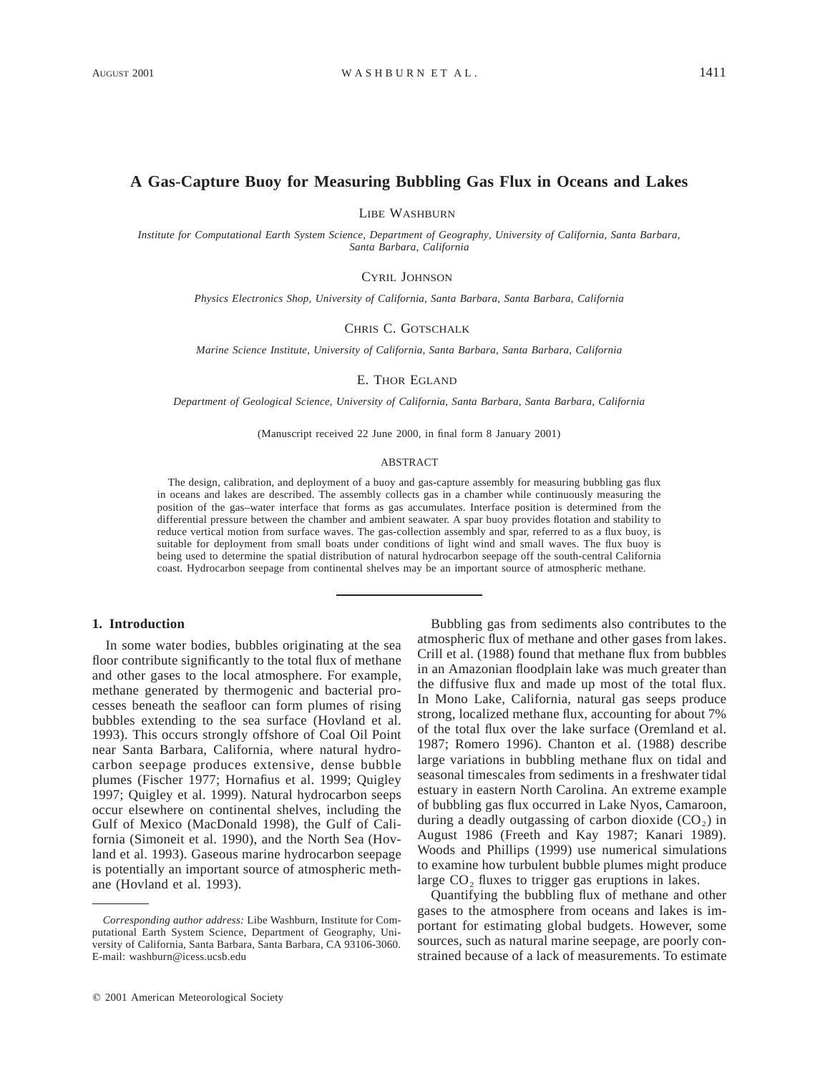# **A Gas-Capture Buoy for Measuring Bubbling Gas Flux in Oceans and Lakes**

LIBE WASHBURN

*Institute for Computational Earth System Science, Department of Geography, University of California, Santa Barbara, Santa Barbara, California*

CYRIL JOHNSON

*Physics Electronics Shop, University of California, Santa Barbara, Santa Barbara, California*

CHRIS C. GOTSCHALK

*Marine Science Institute, University of California, Santa Barbara, Santa Barbara, California*

### E. THOR EGLAND

*Department of Geological Science, University of California, Santa Barbara, Santa Barbara, California*

(Manuscript received 22 June 2000, in final form 8 January 2001)

### ABSTRACT

The design, calibration, and deployment of a buoy and gas-capture assembly for measuring bubbling gas flux in oceans and lakes are described. The assembly collects gas in a chamber while continuously measuring the position of the gas–water interface that forms as gas accumulates. Interface position is determined from the differential pressure between the chamber and ambient seawater. A spar buoy provides flotation and stability to reduce vertical motion from surface waves. The gas-collection assembly and spar, referred to as a flux buoy, is suitable for deployment from small boats under conditions of light wind and small waves. The flux buoy is being used to determine the spatial distribution of natural hydrocarbon seepage off the south-central California coast. Hydrocarbon seepage from continental shelves may be an important source of atmospheric methane.

### **1. Introduction**

In some water bodies, bubbles originating at the sea floor contribute significantly to the total flux of methane and other gases to the local atmosphere. For example, methane generated by thermogenic and bacterial processes beneath the seafloor can form plumes of rising bubbles extending to the sea surface (Hovland et al. 1993). This occurs strongly offshore of Coal Oil Point near Santa Barbara, California, where natural hydrocarbon seepage produces extensive, dense bubble plumes (Fischer 1977; Hornafius et al. 1999; Quigley 1997; Quigley et al. 1999). Natural hydrocarbon seeps occur elsewhere on continental shelves, including the Gulf of Mexico (MacDonald 1998), the Gulf of California (Simoneit et al. 1990), and the North Sea (Hovland et al. 1993). Gaseous marine hydrocarbon seepage is potentially an important source of atmospheric methane (Hovland et al. 1993).

Bubbling gas from sediments also contributes to the atmospheric flux of methane and other gases from lakes. Crill et al. (1988) found that methane flux from bubbles in an Amazonian floodplain lake was much greater than the diffusive flux and made up most of the total flux. In Mono Lake, California, natural gas seeps produce strong, localized methane flux, accounting for about 7% of the total flux over the lake surface (Oremland et al. 1987; Romero 1996). Chanton et al. (1988) describe large variations in bubbling methane flux on tidal and seasonal timescales from sediments in a freshwater tidal estuary in eastern North Carolina. An extreme example of bubbling gas flux occurred in Lake Nyos, Camaroon, during a deadly outgassing of carbon dioxide  $(CO<sub>2</sub>)$  in August 1986 (Freeth and Kay 1987; Kanari 1989). Woods and Phillips (1999) use numerical simulations to examine how turbulent bubble plumes might produce large CO<sub>2</sub> fluxes to trigger gas eruptions in lakes.

Quantifying the bubbling flux of methane and other gases to the atmosphere from oceans and lakes is important for estimating global budgets. However, some sources, such as natural marine seepage, are poorly constrained because of a lack of measurements. To estimate

*Corresponding author address:* Libe Washburn, Institute for Computational Earth System Science, Department of Geography, University of California, Santa Barbara, Santa Barbara, CA 93106-3060. E-mail: washburn@icess.ucsb.edu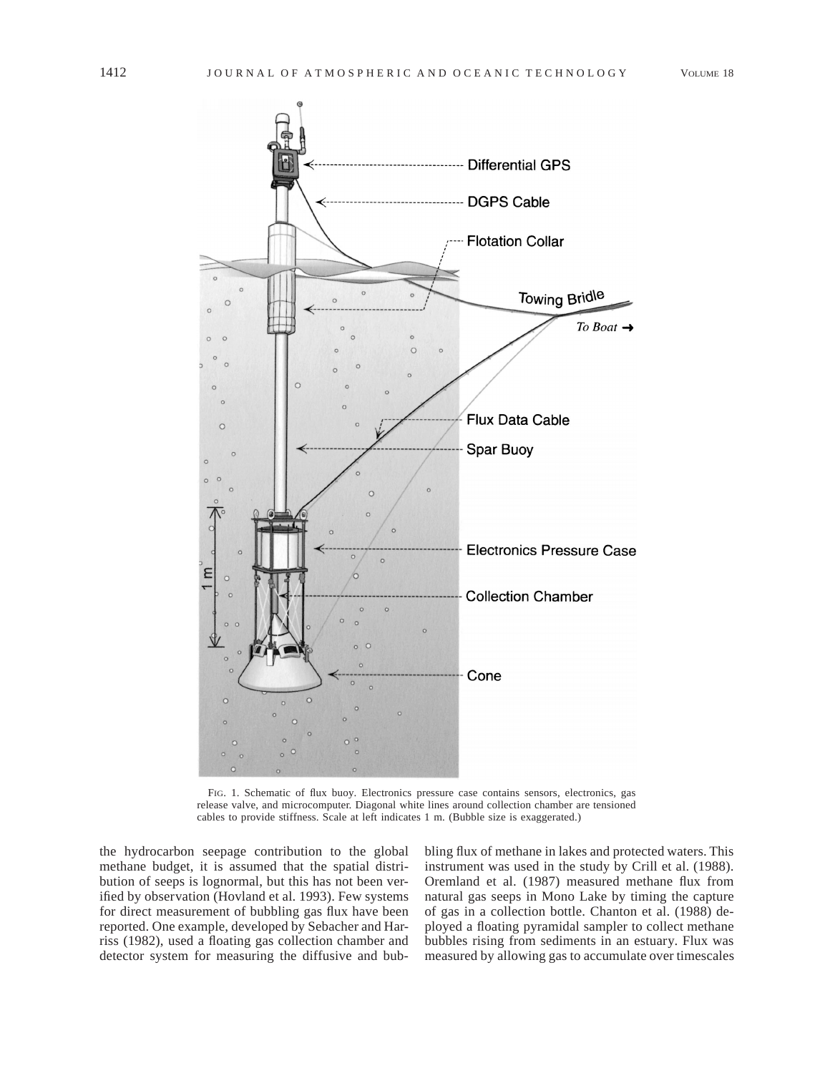

FIG. 1. Schematic of flux buoy. Electronics pressure case contains sensors, electronics, gas release valve, and microcomputer. Diagonal white lines around collection chamber are tensioned cables to provide stiffness. Scale at left indicates 1 m. (Bubble size is exaggerated.)

the hydrocarbon seepage contribution to the global methane budget, it is assumed that the spatial distribution of seeps is lognormal, but this has not been verified by observation (Hovland et al. 1993). Few systems for direct measurement of bubbling gas flux have been reported. One example, developed by Sebacher and Harriss (1982), used a floating gas collection chamber and detector system for measuring the diffusive and bubbling flux of methane in lakes and protected waters. This instrument was used in the study by Crill et al. (1988). Oremland et al. (1987) measured methane flux from natural gas seeps in Mono Lake by timing the capture of gas in a collection bottle. Chanton et al. (1988) deployed a floating pyramidal sampler to collect methane bubbles rising from sediments in an estuary. Flux was measured by allowing gas to accumulate over timescales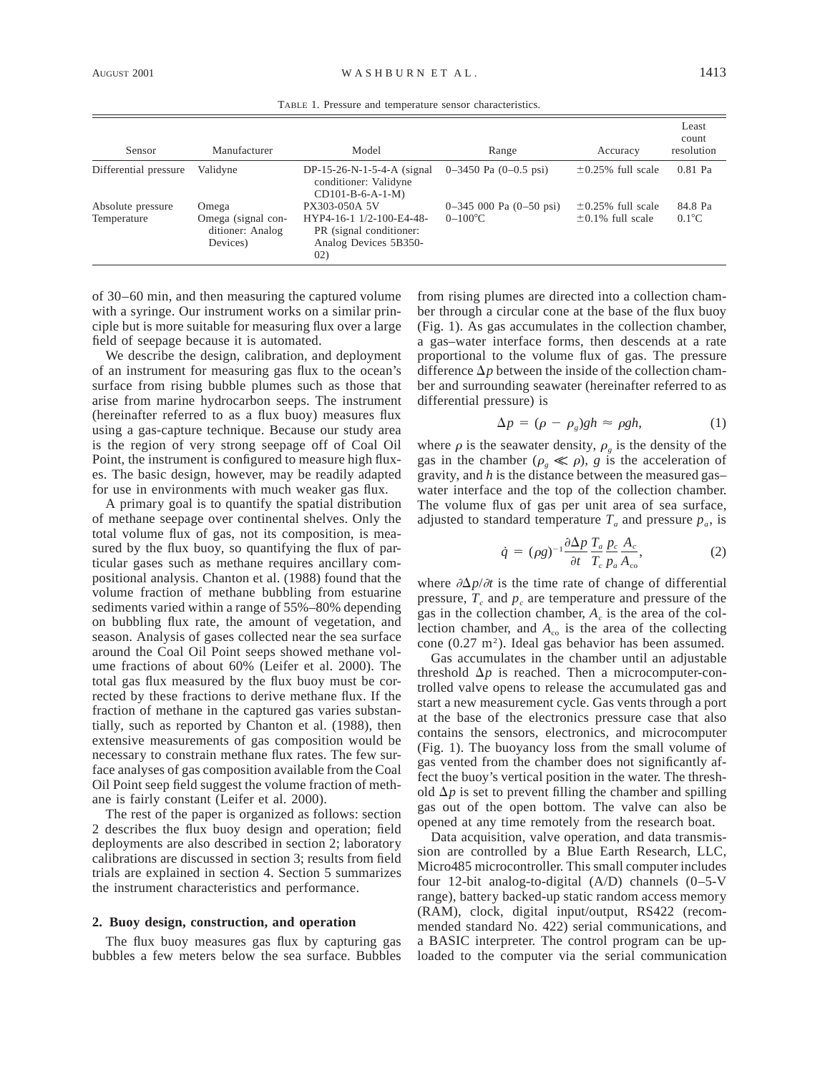| Sensor                           | Manufacturer                 | Model                                                                       | Range                                           | Accuracy                                          | Least<br>count<br>resolution |
|----------------------------------|------------------------------|-----------------------------------------------------------------------------|-------------------------------------------------|---------------------------------------------------|------------------------------|
| Differential pressure            | Validyne                     | $DP-15-26-N-1-5-4-A$ (signal)<br>conditioner: Validyne<br>$CD101-B-6-A-1-M$ | $0-3450$ Pa $(0-0.5$ psi)                       | $\pm 0.25\%$ full scale                           | 0.81 Pa                      |
| Absolute pressure<br>Temperature | Omega<br>Omega (signal con-  | PX303-050A 5V<br>HYP4-16-1 1/2-100-E4-48-                                   | $0-345000$ Pa $(0-50$ psi)<br>$0-100^{\circ}$ C | $\pm 0.25\%$ full scale<br>$\pm 0.1\%$ full scale | 84.8 Pa<br>$0.1^{\circ}$ C   |
|                                  | ditioner: Analog<br>Devices) | PR (signal conditioner:<br>Analog Devices 5B350-<br>02)                     |                                                 |                                                   |                              |

of 30–60 min, and then measuring the captured volume with a syringe. Our instrument works on a similar principle but is more suitable for measuring flux over a large field of seepage because it is automated.

We describe the design, calibration, and deployment of an instrument for measuring gas flux to the ocean's surface from rising bubble plumes such as those that arise from marine hydrocarbon seeps. The instrument (hereinafter referred to as a flux buoy) measures flux using a gas-capture technique. Because our study area is the region of very strong seepage off of Coal Oil Point, the instrument is configured to measure high fluxes. The basic design, however, may be readily adapted for use in environments with much weaker gas flux.

A primary goal is to quantify the spatial distribution of methane seepage over continental shelves. Only the total volume flux of gas, not its composition, is measured by the flux buoy, so quantifying the flux of particular gases such as methane requires ancillary compositional analysis. Chanton et al. (1988) found that the volume fraction of methane bubbling from estuarine sediments varied within a range of 55%–80% depending on bubbling flux rate, the amount of vegetation, and season. Analysis of gases collected near the sea surface around the Coal Oil Point seeps showed methane volume fractions of about 60% (Leifer et al. 2000). The total gas flux measured by the flux buoy must be corrected by these fractions to derive methane flux. If the fraction of methane in the captured gas varies substantially, such as reported by Chanton et al. (1988), then extensive measurements of gas composition would be necessary to constrain methane flux rates. The few surface analyses of gas composition available from the Coal Oil Point seep field suggest the volume fraction of methane is fairly constant (Leifer et al. 2000).

The rest of the paper is organized as follows: section 2 describes the flux buoy design and operation; field deployments are also described in section 2; laboratory calibrations are discussed in section 3; results from field trials are explained in section 4. Section 5 summarizes the instrument characteristics and performance.

### **2. Buoy design, construction, and operation**

The flux buoy measures gas flux by capturing gas bubbles a few meters below the sea surface. Bubbles from rising plumes are directed into a collection chamber through a circular cone at the base of the flux buoy (Fig. 1). As gas accumulates in the collection chamber, a gas–water interface forms, then descends at a rate proportional to the volume flux of gas. The pressure difference  $\Delta p$  between the inside of the collection chamber and surrounding seawater (hereinafter referred to as differential pressure) is

$$
\Delta p = (\rho - \rho_s)gh \approx \rho gh, \tag{1}
$$

where  $\rho$  is the seawater density,  $\rho<sub>g</sub>$  is the density of the gas in the chamber ( $\rho$ <sub>*e*</sub>  $\ll \rho$ ), *g* is the acceleration of gravity, and *h* is the distance between the measured gas– water interface and the top of the collection chamber. The volume flux of gas per unit area of sea surface, adjusted to standard temperature  $T_a$  and pressure  $p_a$ , is

$$
\dot{q} = (\rho g)^{-1} \frac{\partial \Delta p}{\partial t} \frac{T_a}{T_c} \frac{p_c}{p_a} \frac{A_c}{A_{\rm co}},\tag{2}
$$

where  $\partial \Delta p / \partial t$  is the time rate of change of differential pressure,  $T_c$  and  $p_c$  are temperature and pressure of the gas in the collection chamber,  $A_c$  is the area of the collection chamber, and  $A_{\infty}$  is the area of the collecting cone  $(0.27 \text{ m}^2)$ . Ideal gas behavior has been assumed.

Gas accumulates in the chamber until an adjustable threshold  $\Delta p$  is reached. Then a microcomputer-controlled valve opens to release the accumulated gas and start a new measurement cycle. Gas vents through a port at the base of the electronics pressure case that also contains the sensors, electronics, and microcomputer (Fig. 1). The buoyancy loss from the small volume of gas vented from the chamber does not significantly affect the buoy's vertical position in the water. The threshold  $\Delta p$  is set to prevent filling the chamber and spilling gas out of the open bottom. The valve can also be opened at any time remotely from the research boat.

Data acquisition, valve operation, and data transmission are controlled by a Blue Earth Research, LLC, Micro485 microcontroller. This small computer includes four 12-bit analog-to-digital (A/D) channels (0–5-V range), battery backed-up static random access memory (RAM), clock, digital input/output, RS422 (recommended standard No. 422) serial communications, and a BASIC interpreter. The control program can be uploaded to the computer via the serial communication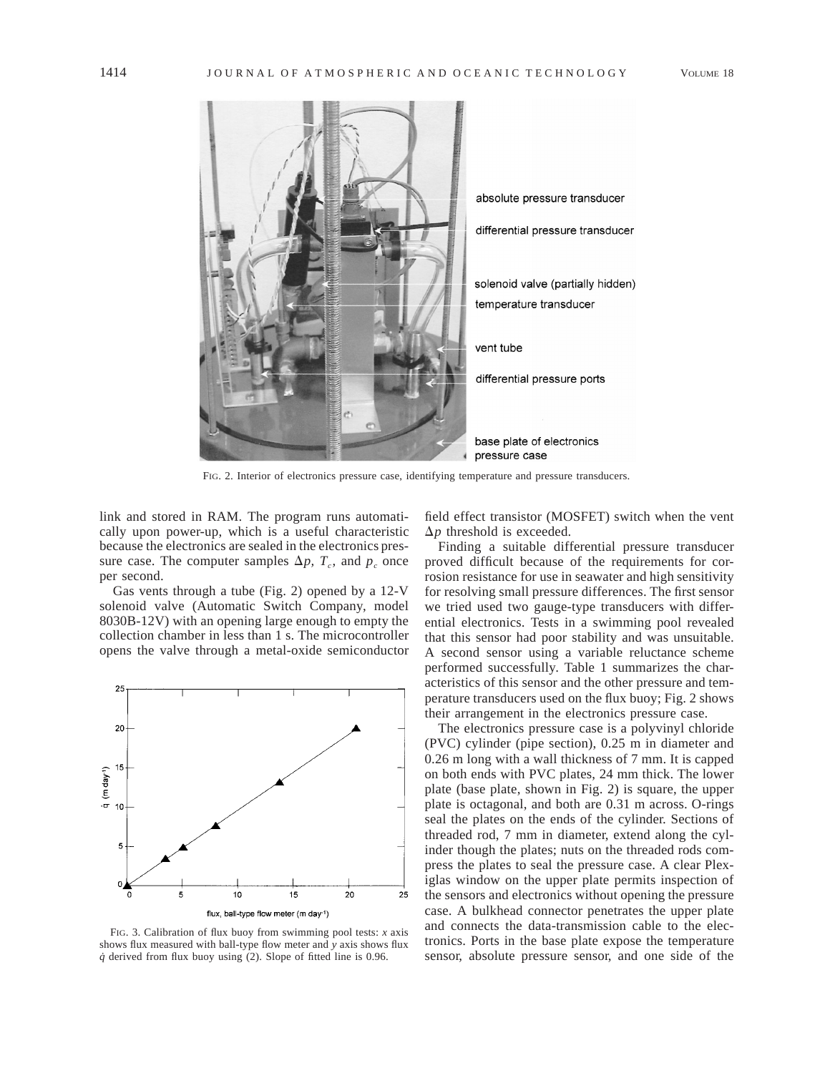

FIG. 2. Interior of electronics pressure case, identifying temperature and pressure transducers.

link and stored in RAM. The program runs automatically upon power-up, which is a useful characteristic because the electronics are sealed in the electronics pressure case. The computer samples  $\Delta p$ ,  $T_c$ , and  $p_c$  once per second.

Gas vents through a tube (Fig. 2) opened by a 12-V solenoid valve (Automatic Switch Company, model 8030B-12V) with an opening large enough to empty the collection chamber in less than 1 s. The microcontroller opens the valve through a metal-oxide semiconductor



FIG. 3. Calibration of flux buoy from swimming pool tests: *x* axis shows flux measured with ball-type flow meter and *y* axis shows flux *q˙* derived from flux buoy using (2). Slope of fitted line is 0.96.

field effect transistor (MOSFET) switch when the vent  $\Delta p$  threshold is exceeded.

Finding a suitable differential pressure transducer proved difficult because of the requirements for corrosion resistance for use in seawater and high sensitivity for resolving small pressure differences. The first sensor we tried used two gauge-type transducers with differential electronics. Tests in a swimming pool revealed that this sensor had poor stability and was unsuitable. A second sensor using a variable reluctance scheme performed successfully. Table 1 summarizes the characteristics of this sensor and the other pressure and temperature transducers used on the flux buoy; Fig. 2 shows their arrangement in the electronics pressure case.

The electronics pressure case is a polyvinyl chloride (PVC) cylinder (pipe section), 0.25 m in diameter and 0.26 m long with a wall thickness of 7 mm. It is capped on both ends with PVC plates, 24 mm thick. The lower plate (base plate, shown in Fig. 2) is square, the upper plate is octagonal, and both are 0.31 m across. O-rings seal the plates on the ends of the cylinder. Sections of threaded rod, 7 mm in diameter, extend along the cylinder though the plates; nuts on the threaded rods compress the plates to seal the pressure case. A clear Plexiglas window on the upper plate permits inspection of the sensors and electronics without opening the pressure case. A bulkhead connector penetrates the upper plate and connects the data-transmission cable to the electronics. Ports in the base plate expose the temperature sensor, absolute pressure sensor, and one side of the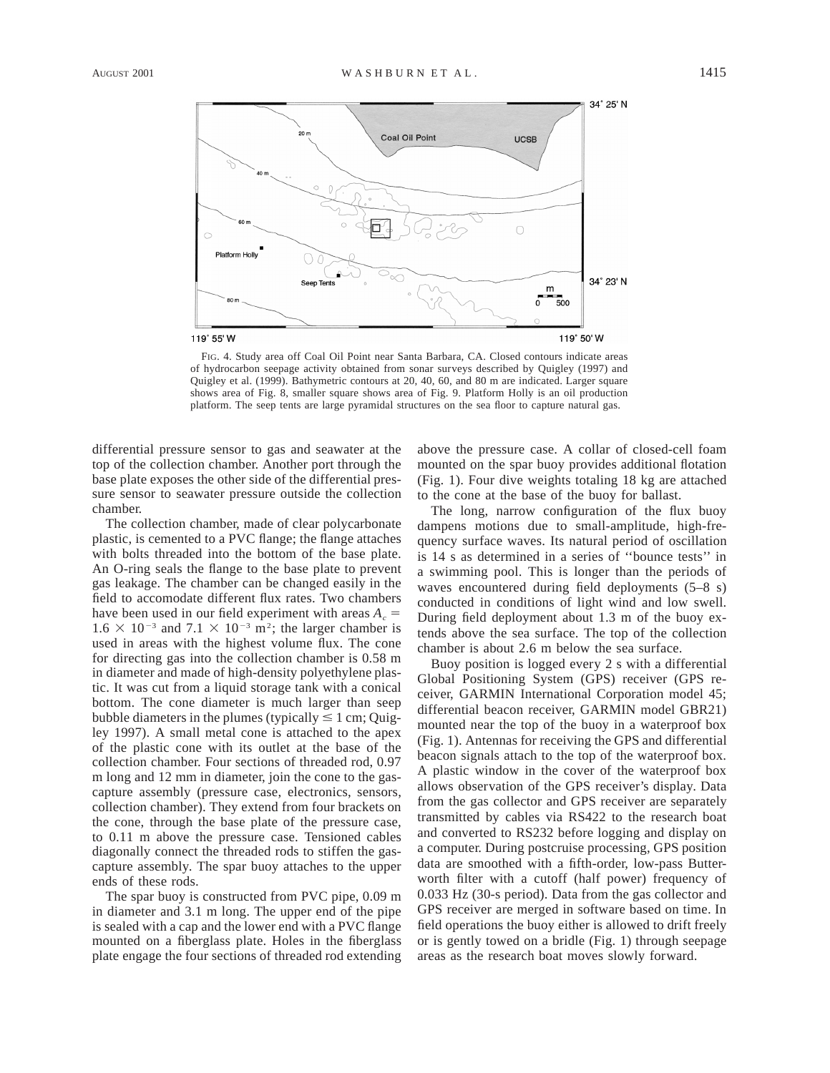

FIG. 4. Study area off Coal Oil Point near Santa Barbara, CA. Closed contours indicate areas of hydrocarbon seepage activity obtained from sonar surveys described by Quigley (1997) and Quigley et al. (1999). Bathymetric contours at 20, 40, 60, and 80 m are indicated. Larger square shows area of Fig. 8, smaller square shows area of Fig. 9. Platform Holly is an oil production platform. The seep tents are large pyramidal structures on the sea floor to capture natural gas.

differential pressure sensor to gas and seawater at the top of the collection chamber. Another port through the base plate exposes the other side of the differential pressure sensor to seawater pressure outside the collection chamber.

The collection chamber, made of clear polycarbonate plastic, is cemented to a PVC flange; the flange attaches with bolts threaded into the bottom of the base plate. An O-ring seals the flange to the base plate to prevent gas leakage. The chamber can be changed easily in the field to accomodate different flux rates. Two chambers have been used in our field experiment with areas  $A_c =$  $1.6 \times 10^{-3}$  and  $7.1 \times 10^{-3}$  m<sup>2</sup>; the larger chamber is used in areas with the highest volume flux. The cone for directing gas into the collection chamber is 0.58 m in diameter and made of high-density polyethylene plastic. It was cut from a liquid storage tank with a conical bottom. The cone diameter is much larger than seep bubble diameters in the plumes (typically  $\leq 1$  cm; Quigley 1997). A small metal cone is attached to the apex of the plastic cone with its outlet at the base of the collection chamber. Four sections of threaded rod, 0.97 m long and 12 mm in diameter, join the cone to the gascapture assembly (pressure case, electronics, sensors, collection chamber). They extend from four brackets on the cone, through the base plate of the pressure case, to 0.11 m above the pressure case. Tensioned cables diagonally connect the threaded rods to stiffen the gascapture assembly. The spar buoy attaches to the upper ends of these rods.

The spar buoy is constructed from PVC pipe, 0.09 m in diameter and 3.1 m long. The upper end of the pipe is sealed with a cap and the lower end with a PVC flange mounted on a fiberglass plate. Holes in the fiberglass plate engage the four sections of threaded rod extending above the pressure case. A collar of closed-cell foam mounted on the spar buoy provides additional flotation (Fig. 1). Four dive weights totaling 18 kg are attached to the cone at the base of the buoy for ballast.

The long, narrow configuration of the flux buoy dampens motions due to small-amplitude, high-frequency surface waves. Its natural period of oscillation is 14 s as determined in a series of ''bounce tests'' in a swimming pool. This is longer than the periods of waves encountered during field deployments (5–8 s) conducted in conditions of light wind and low swell. During field deployment about 1.3 m of the buoy extends above the sea surface. The top of the collection chamber is about 2.6 m below the sea surface.

Buoy position is logged every 2 s with a differential Global Positioning System (GPS) receiver (GPS receiver, GARMIN International Corporation model 45; differential beacon receiver, GARMIN model GBR21) mounted near the top of the buoy in a waterproof box (Fig. 1). Antennas for receiving the GPS and differential beacon signals attach to the top of the waterproof box. A plastic window in the cover of the waterproof box allows observation of the GPS receiver's display. Data from the gas collector and GPS receiver are separately transmitted by cables via RS422 to the research boat and converted to RS232 before logging and display on a computer. During postcruise processing, GPS position data are smoothed with a fifth-order, low-pass Butterworth filter with a cutoff (half power) frequency of 0.033 Hz (30-s period). Data from the gas collector and GPS receiver are merged in software based on time. In field operations the buoy either is allowed to drift freely or is gently towed on a bridle (Fig. 1) through seepage areas as the research boat moves slowly forward.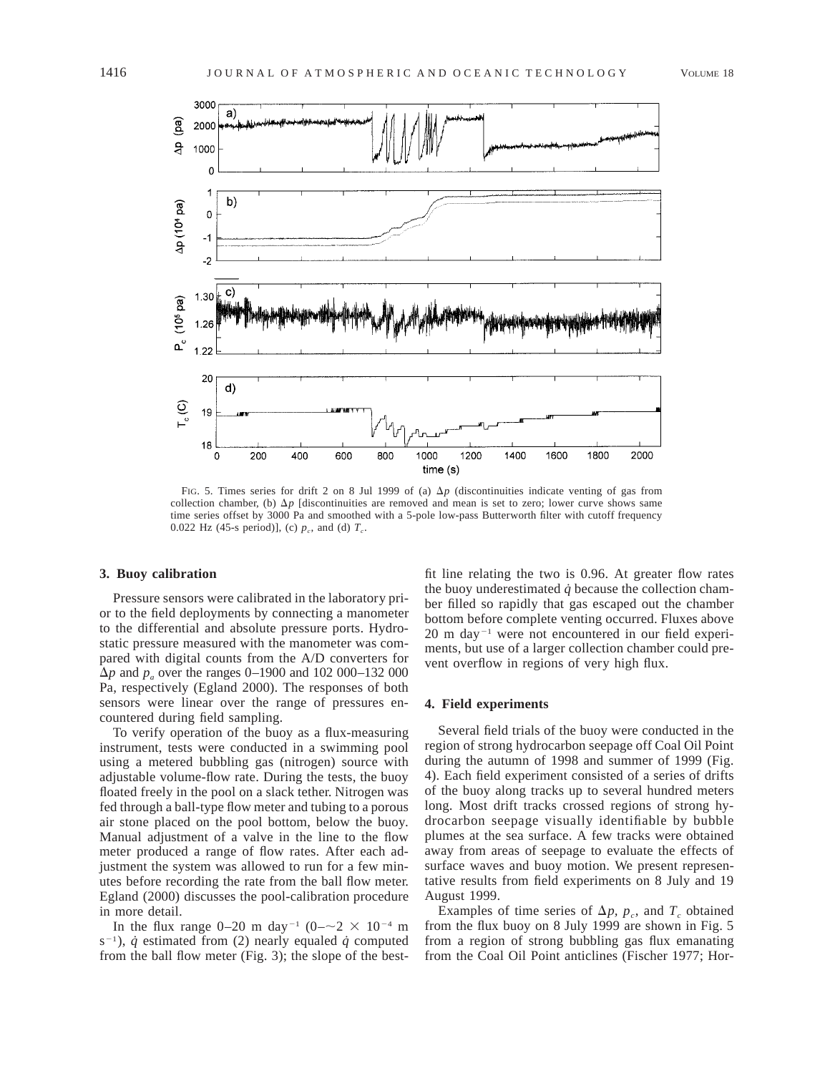

FIG. 5. Times series for drift 2 on 8 Jul 1999 of (a)  $\Delta p$  (discontinuities indicate venting of gas from collection chamber, (b)  $\Delta p$  [discontinuities are removed and mean is set to zero; lower curve shows same time series offset by 3000 Pa and smoothed with a 5-pole low-pass Butterworth filter with cutoff frequency 0.022 Hz (45-s period)], (c)  $p_c$ , and (d)  $T_c$ .

## **3. Buoy calibration**

Pressure sensors were calibrated in the laboratory prior to the field deployments by connecting a manometer to the differential and absolute pressure ports. Hydrostatic pressure measured with the manometer was compared with digital counts from the A/D converters for  $\Delta p$  and  $p_a$  over the ranges 0–1900 and 102 000–132 000 Pa, respectively (Egland 2000). The responses of both sensors were linear over the range of pressures encountered during field sampling.

To verify operation of the buoy as a flux-measuring instrument, tests were conducted in a swimming pool using a metered bubbling gas (nitrogen) source with adjustable volume-flow rate. During the tests, the buoy floated freely in the pool on a slack tether. Nitrogen was fed through a ball-type flow meter and tubing to a porous air stone placed on the pool bottom, below the buoy. Manual adjustment of a valve in the line to the flow meter produced a range of flow rates. After each adjustment the system was allowed to run for a few minutes before recording the rate from the ball flow meter. Egland (2000) discusses the pool-calibration procedure in more detail.

In the flux range 0–20 m day<sup>-1</sup> (0– $\sim$ 2  $\times$  10<sup>-4</sup> m  $s^{-1}$ ), *q* estimated from (2) nearly equaled *q* computed from the ball flow meter (Fig. 3); the slope of the best-

fit line relating the two is 0.96. At greater flow rates the buoy underestimated *q˙* because the collection chamber filled so rapidly that gas escaped out the chamber bottom before complete venting occurred. Fluxes above  $20$  m day<sup>-1</sup> were not encountered in our field experiments, but use of a larger collection chamber could prevent overflow in regions of very high flux.

### **4. Field experiments**

Several field trials of the buoy were conducted in the region of strong hydrocarbon seepage off Coal Oil Point during the autumn of 1998 and summer of 1999 (Fig. 4). Each field experiment consisted of a series of drifts of the buoy along tracks up to several hundred meters long. Most drift tracks crossed regions of strong hydrocarbon seepage visually identifiable by bubble plumes at the sea surface. A few tracks were obtained away from areas of seepage to evaluate the effects of surface waves and buoy motion. We present representative results from field experiments on 8 July and 19 August 1999.

Examples of time series of  $\Delta p$ ,  $p_c$ , and  $T_c$  obtained from the flux buoy on 8 July 1999 are shown in Fig. 5 from a region of strong bubbling gas flux emanating from the Coal Oil Point anticlines (Fischer 1977; Hor-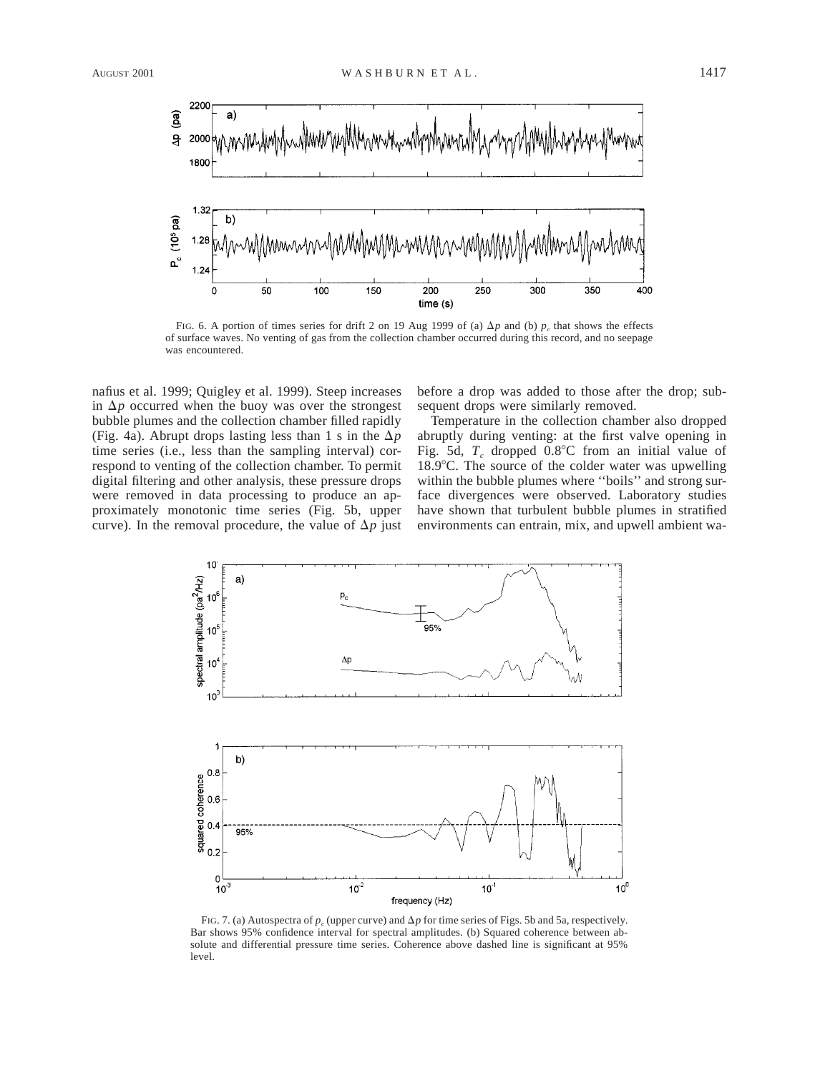

FIG. 6. A portion of times series for drift 2 on 19 Aug 1999 of (a)  $\Delta p$  and (b)  $p_c$  that shows the effects of surface waves. No venting of gas from the collection chamber occurred during this record, and no seepage was encountered.

nafius et al. 1999; Quigley et al. 1999). Steep increases in  $\Delta p$  occurred when the buoy was over the strongest bubble plumes and the collection chamber filled rapidly (Fig. 4a). Abrupt drops lasting less than 1 s in the  $\Delta p$ time series (i.e., less than the sampling interval) correspond to venting of the collection chamber. To permit digital filtering and other analysis, these pressure drops were removed in data processing to produce an approximately monotonic time series (Fig. 5b, upper curve). In the removal procedure, the value of  $\Delta p$  just

before a drop was added to those after the drop; subsequent drops were similarly removed.

Temperature in the collection chamber also dropped abruptly during venting: at the first valve opening in Fig. 5d,  $T_c$  dropped  $0.8^{\circ}$ C from an initial value of 18.9°C. The source of the colder water was upwelling within the bubble plumes where ''boils'' and strong surface divergences were observed. Laboratory studies have shown that turbulent bubble plumes in stratified environments can entrain, mix, and upwell ambient wa-



FIG. 7. (a) Autospectra of  $p_c$  (upper curve) and  $\Delta p$  for time series of Figs. 5b and 5a, respectively. Bar shows 95% confidence interval for spectral amplitudes. (b) Squared coherence between absolute and differential pressure time series. Coherence above dashed line is significant at 95% level.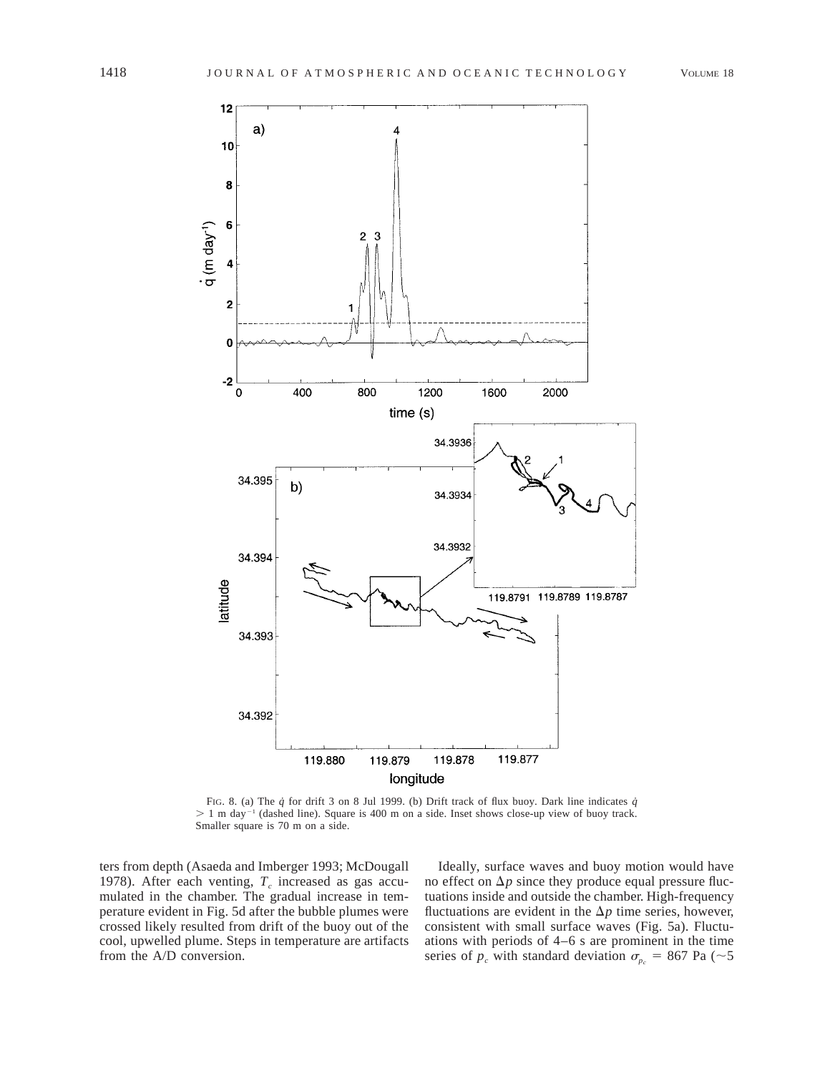

FIG. 8. (a) The *q* for drift 3 on 8 Jul 1999. (b) Drift track of flux buoy. Dark line indicates *q*  $> 1$  m day<sup>-1</sup> (dashed line). Square is 400 m on a side. Inset shows close-up view of buoy track. Smaller square is 70 m on a side.

ters from depth (Asaeda and Imberger 1993; McDougall 1978). After each venting,  $T_c$  increased as gas accumulated in the chamber. The gradual increase in temperature evident in Fig. 5d after the bubble plumes were crossed likely resulted from drift of the buoy out of the cool, upwelled plume. Steps in temperature are artifacts from the A/D conversion.

Ideally, surface waves and buoy motion would have no effect on  $\Delta p$  since they produce equal pressure fluctuations inside and outside the chamber. High-frequency fluctuations are evident in the  $\Delta p$  time series, however, consistent with small surface waves (Fig. 5a). Fluctuations with periods of 4–6 s are prominent in the time series of  $p_c$  with standard deviation  $\sigma_{p_c} = 867$  Pa ( $\sim$ 5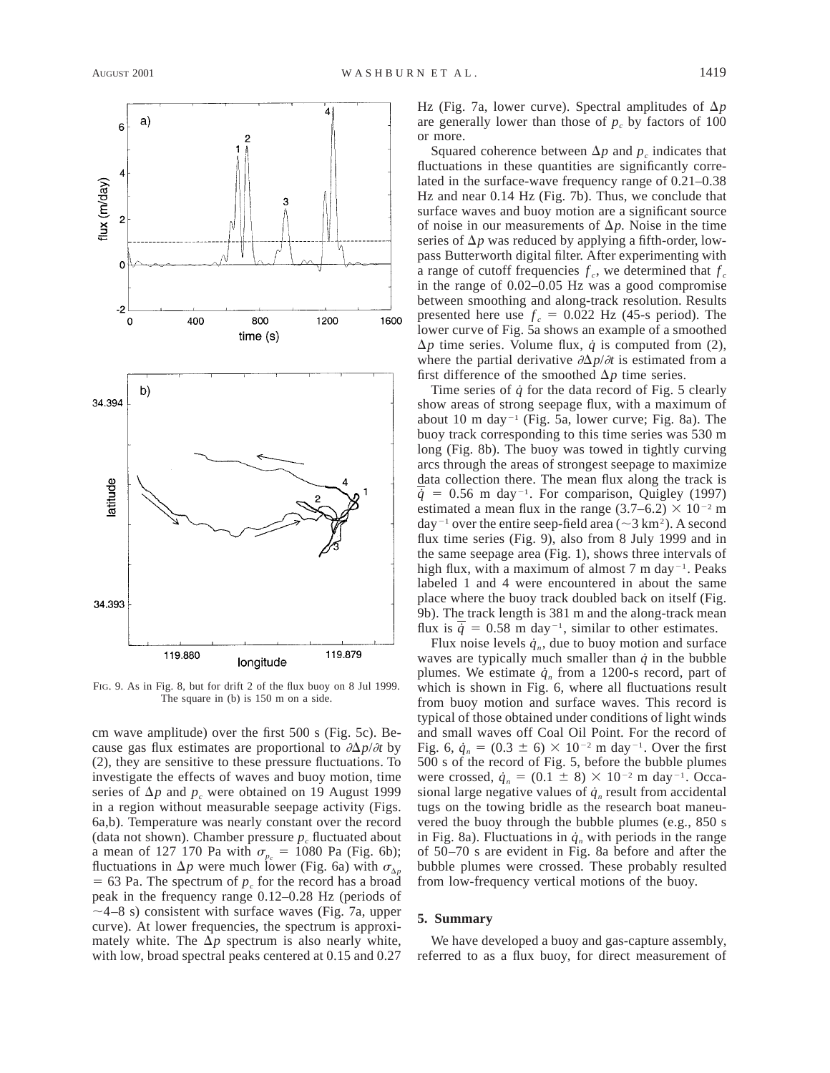

FIG. 9. As in Fig. 8, but for drift 2 of the flux buoy on 8 Jul 1999. The square in (b) is 150 m on a side.

cm wave amplitude) over the first 500 s (Fig. 5c). Because gas flux estimates are proportional to  $\partial \Delta p / \partial t$  by (2), they are sensitive to these pressure fluctuations. To investigate the effects of waves and buoy motion, time series of  $\Delta p$  and  $p_c$  were obtained on 19 August 1999 in a region without measurable seepage activity (Figs. 6a,b). Temperature was nearly constant over the record (data not shown). Chamber pressure  $p_c$  fluctuated about a mean of 127 170 Pa with  $\sigma_{p_c} = 1080$  Pa (Fig. 6b); fluctuations in  $\Delta p$  were much lower (Fig. 6a) with  $\sigma_{\Delta p}$  $= 63$  Pa. The spectrum of  $p_c$  for the record has a broad peak in the frequency range 0.12–0.28 Hz (periods of  $\sim$ 4–8 s) consistent with surface waves (Fig. 7a, upper curve). At lower frequencies, the spectrum is approximately white. The  $\Delta p$  spectrum is also nearly white, with low, broad spectral peaks centered at 0.15 and 0.27 Hz (Fig. 7a, lower curve). Spectral amplitudes of  $\Delta p$ are generally lower than those of  $p_c$  by factors of 100 or more.

Squared coherence between  $\Delta p$  and  $p_c$  indicates that fluctuations in these quantities are significantly correlated in the surface-wave frequency range of 0.21–0.38 Hz and near 0.14 Hz (Fig. 7b). Thus, we conclude that surface waves and buoy motion are a significant source of noise in our measurements of  $\Delta p$ . Noise in the time series of  $\Delta p$  was reduced by applying a fifth-order, lowpass Butterworth digital filter. After experimenting with a range of cutoff frequencies  $f_c$ , we determined that  $f_c$ in the range of 0.02–0.05 Hz was a good compromise between smoothing and along-track resolution. Results presented here use  $f_c = 0.022$  Hz (45-s period). The lower curve of Fig. 5a shows an example of a smoothed  $\Delta p$  time series. Volume flux, *q* is computed from (2), where the partial derivative  $\partial \Delta p / \partial t$  is estimated from a first difference of the smoothed  $\Delta p$  time series.

Time series of *q˙* for the data record of Fig. 5 clearly show areas of strong seepage flux, with a maximum of about 10 m day<sup> $-1$ </sup> (Fig. 5a, lower curve; Fig. 8a). The buoy track corresponding to this time series was 530 m long (Fig. 8b). The buoy was towed in tightly curving arcs through the areas of strongest seepage to maximize data collection there. The mean flux along the track is  $\dot{q}$  = 0.56 m day<sup>-1</sup>. For comparison, Quigley (1997) estimated a mean flux in the range  $(3.7–6.2) \times 10^{-2}$  m day<sup>-1</sup> over the entire seep-field area ( $\sim$ 3 km<sup>2</sup>). A second flux time series (Fig. 9), also from 8 July 1999 and in the same seepage area (Fig. 1), shows three intervals of high flux, with a maximum of almost 7 m day<sup> $-1$ </sup>. Peaks labeled 1 and 4 were encountered in about the same place where the buoy track doubled back on itself (Fig. 9b). The track length is 381 m and the along-track mean flux is  $\dot{q} = 0.58$  m day<sup>-1</sup>, similar to other estimates.

Flux noise levels  $\dot{q}_n$ , due to buoy motion and surface waves are typically much smaller than *q˙* in the bubble plumes. We estimate  $\dot{q}_n$  from a 1200-s record, part of which is shown in Fig. 6, where all fluctuations result from buoy motion and surface waves. This record is typical of those obtained under conditions of light winds and small waves off Coal Oil Point. For the record of Fig. 6,  $\dot{q}_n = (0.3 \pm 6) \times 10^{-2}$  m day<sup>-1</sup>. Over the first 500 s of the record of Fig. 5, before the bubble plumes were crossed,  $\dot{q}_n = (0.1 \pm 8) \times 10^{-2}$  m day<sup>-1</sup>. Occasional large negative values of  $\dot{q}_n$  result from accidental tugs on the towing bridle as the research boat maneuvered the buoy through the bubble plumes (e.g., 850 s in Fig. 8a). Fluctuations in  $\dot{q}_n$  with periods in the range of 50–70 s are evident in Fig. 8a before and after the bubble plumes were crossed. These probably resulted from low-frequency vertical motions of the buoy.

### **5. Summary**

We have developed a buoy and gas-capture assembly, referred to as a flux buoy, for direct measurement of